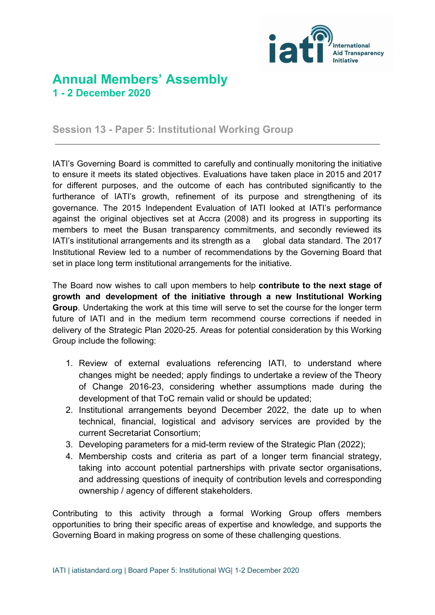

## **Annual Members' Assembly 1 - 2 December 2020**

**Session 13 - Paper 5: Institutional Working Group**

IATI's Governing Board is committed to carefully and continually monitoring the initiative to ensure it meets its stated objectives. Evaluations have taken place in 2015 and 2017 for different purposes, and the outcome of each has contributed significantly to the furtherance of IATI's growth, refinement of its purpose and strengthening of its governance. The 2015 Independent Evaluation of IATI looked at IATI's performance against the original objectives set at Accra (2008) and its progress in supporting its members to meet the Busan transparency commitments, and secondly reviewed its IATI's institutional arrangements and its strength as a global data standard. The 2017 Institutional Review led to a number of recommendations by the Governing Board that set in place long term institutional arrangements for the initiative.

The Board now wishes to call upon members to help **contribute to the next stage of growth and development of the initiative through a new Institutional Working Group**. Undertaking the work at this time will serve to set the course for the longer term future of IATI and in the medium term recommend course corrections if needed in delivery of the Strategic Plan 2020-25. Areas for potential consideration by this Working Group include the following:

- 1. Review of external evaluations referencing IATI, to understand where changes might be needed; apply findings to undertake a review of the Theory of Change 2016-23, considering whether assumptions made during the development of that ToC remain valid or should be updated;
- 2. Institutional arrangements beyond December 2022, the date up to when technical, financial, logistical and advisory services are provided by the current Secretariat Consortium;
- 3. Developing parameters for a mid-term review of the Strategic Plan (2022);
- 4. Membership costs and criteria as part of a longer term financial strategy, taking into account potential partnerships with private sector organisations, and addressing questions of inequity of contribution levels and corresponding ownership / agency of different stakeholders.

Contributing to this activity through a formal Working Group offers members opportunities to bring their specific areas of expertise and knowledge, and supports the Governing Board in making progress on some of these challenging questions.